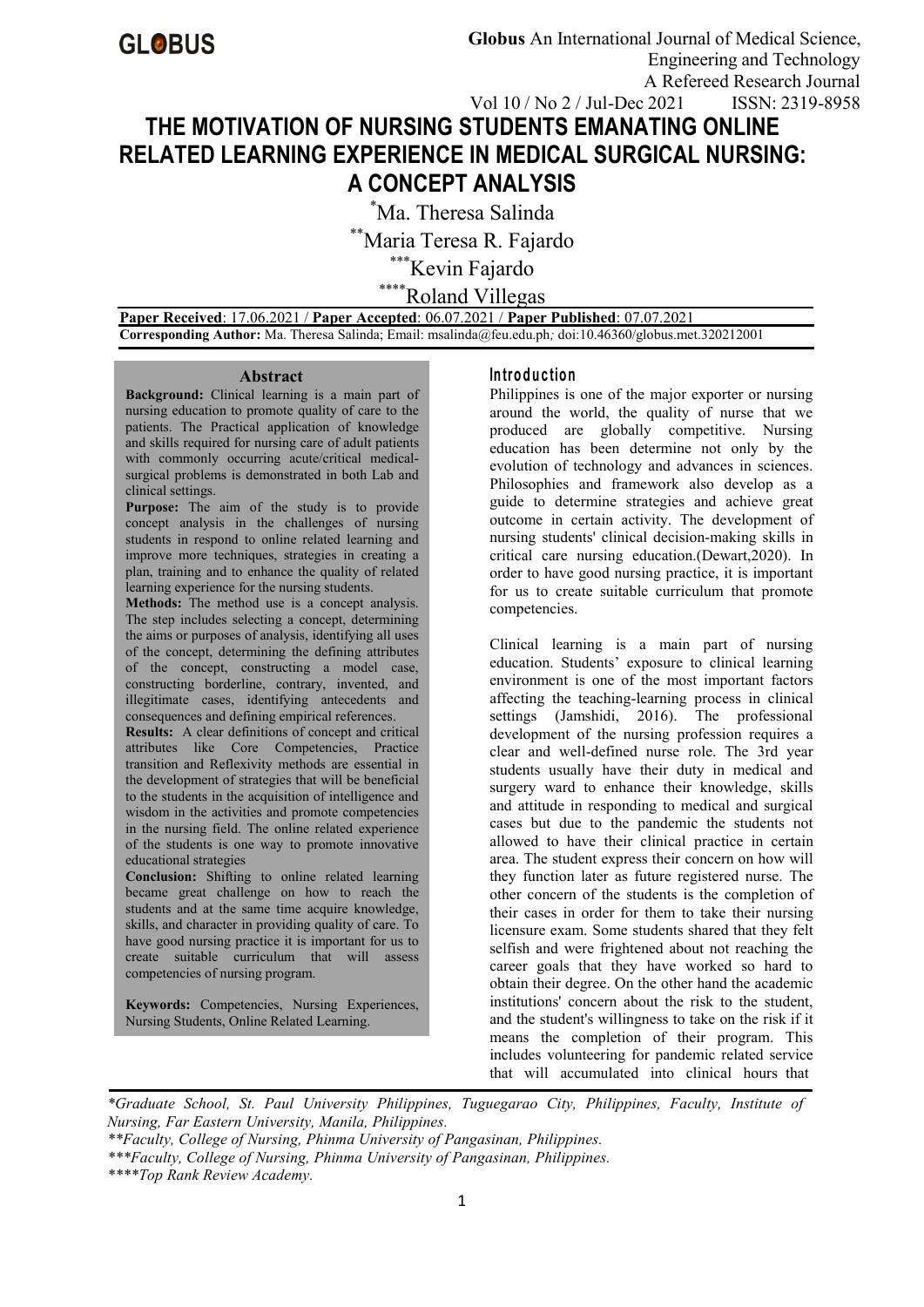# **THE MOTIVATION OF NURSING STUDENTS EMANATING ONLINE RELATED LEARNING EXPERIENCE IN MEDICAL SURGICAL NURSING: A CONCEPT ANALYSIS**

\*Ma. Theresa Salinda

\*\*Maria Teresa R. Fajardo

\*\*\*Kevin Fajardo

\*\*\*\*Roland Villegas

**Paper Received**: 17.06.2021 / **Paper Accepted**: 06.07.2021 / **Paper Published**: 07.07.2021 **Corresponding Author:** Ma. Theresa Salinda; Email: msalinda@feu.edu.ph*;* doi:10.46360/globus.met.320212001

#### **Abstract**

**Background:** Clinical learning is a main part of nursing education to promote quality of care to the patients. The Practical application of knowledge and skills required for nursing care of adult patients with commonly occurring acute/critical medical surgical problems is demonstrated in both Lab and clinical settings.

**Purpose:** The aim of the study is to provide concept analysis in the challenges of nursing students in respond to online related learning and improve more techniques, strategies in creating a plan, training and to enhance the quality of related learning experience for the nursing students.

**Methods:** The method use is a concept analysis. The step includes selecting a concept, determining the aims or purposes of analysis, identifying all uses of the concept, determining the defining attributes of the concept, constructing a model case, constructing borderline, contrary, invented, and illegitimate cases, identifying antecedents and consequences and defining empirical references.

**Results:** A clear definitions of concept and critical attributes like Core Competencies, Practice transition and Reflexivity methods are essential in the development of strategies that will be beneficial to the students in the acquisition of intelligence and wisdom in the activities and promote competencies in the nursing field. The online related experience of the students is one way to promote innovative educational strategies

**Conclusion:** Shifting to online related learning became great challenge on how to reach the students and at the same time acquire knowledge, skills, and character in providing quality of care. To have good nursing practice it is important for us to create suitable curriculum that will assess competencies of nursing program.

**Keywords:** Competencies, Nursing Experiences, Nursing Students, Online Related Learning.

## **In tro d u c tio n**

Philippines is one of the major exporter or nursing around the world, the quality of nurse that we produced are globally competitive. Nursing education has been determine not only by the evolution of technology and advances in sciences. Philosophies and framework also develop as a guide to determine strategies and achieve great outcome in certain activity. The development of nursing students' clinical decision-making skills in critical care nursing education.(Dewart,2020). In order to have good nursing practice, it is important for us to create suitable curriculum that promote competencies.

Clinical learning is a main part of nursing education. Students' exposure to clinical learning environment is one of the most important factors affecting the teaching-learning process in clinical settings (Jamshidi, 2016). The professional development of the nursing profession requires a clear and well-defined nurse role. The 3rd year students usually have their duty in medical and surgery ward to enhance their knowledge, skills and attitude in responding to medical and surgical cases but due to the pandemic the students not allowed to have their clinical practice in certain area. The student express their concern on how will they function later as future registered nurse. The other concern of the students is the completion of their cases in order for them to take their nursing licensure exam. Some students shared that they felt selfish and were frightened about not reaching the career goals that they have worked so hard to obtain their degree. On the other hand the academic institutions' concern about the risk to the student, and the student's willingness to take on the risk if it means the completion of their program. This includes volunteering for pandemic related service that will accumulated into clinical hours that

*\*Graduate School, St. Paul University Philippines, Tuguegarao City, Philippines, Faculty, Institute of Nursing, Far Eastern University, Manila, Philippines.* 

*\*\*Faculty, College of Nursing, Phinma University of Pangasinan, Philippines.*

*\*\*\*Faculty, College of Nursing, Phinma University of Pangasinan, Philippines.*

*\*\*\*\*Top Rank Review Academy.*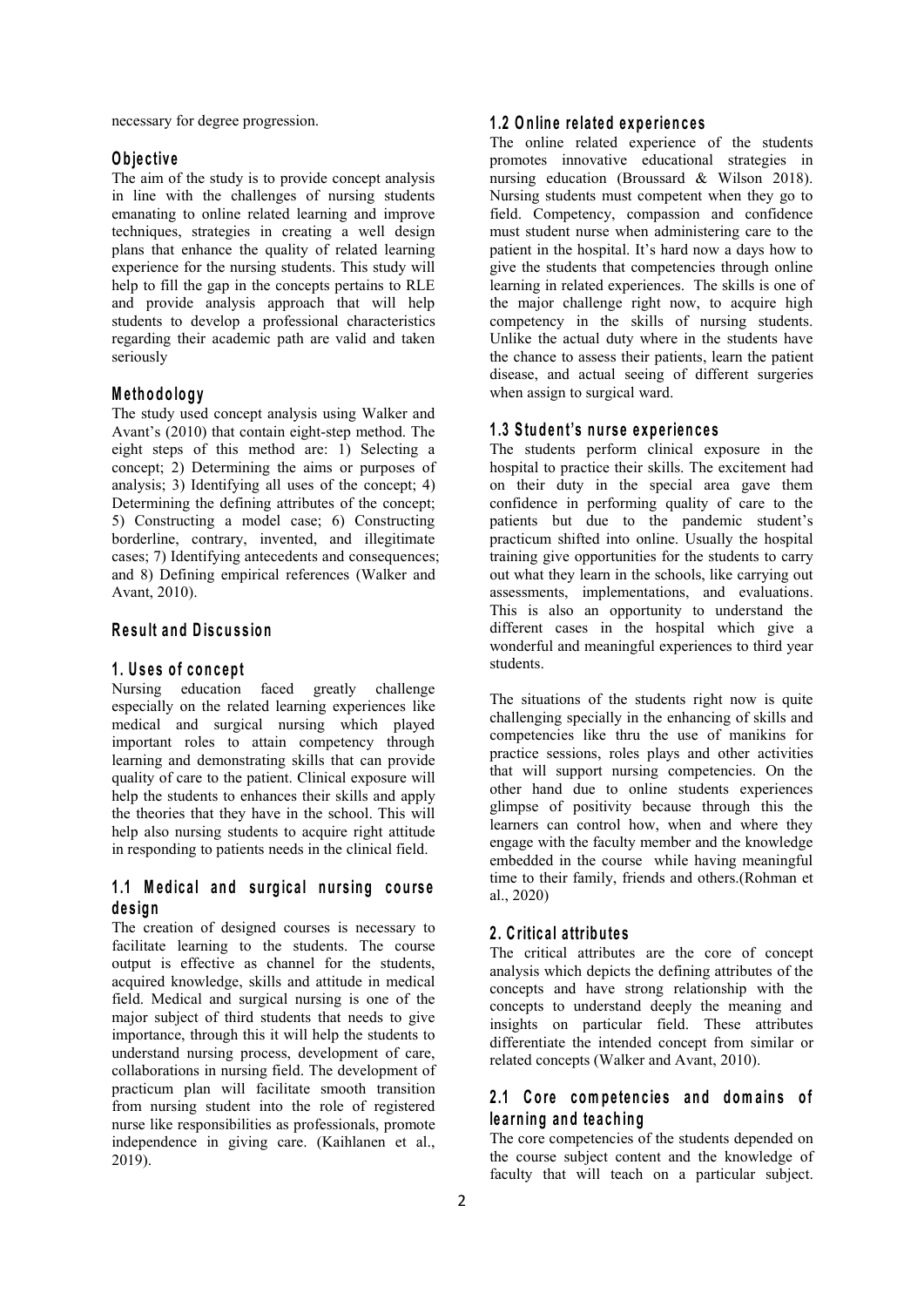necessary for degree progression.

## **O b je c tiv e**

The aim of the study is to provide concept analysis in line with the challenges of nursing students emanating to online related learning and improve techniques, strategies in creating a well design plans that enhance the quality of related learning experience for the nursing students. This study will help to fill the gap in the concepts pertains to RLE and provide analysis approach that will help students to develop a professional characteristics regarding their academic path are valid and taken seriously

# **M e th o d o lo g y**

The study used concept analysis using Walker and Avant's (2010) that contain eight-step method. The eight steps of this method are: 1) Selecting a concept; 2) Determining the aims or purposes of analysis; 3) Identifying all uses of the concept; 4) Determining the defining attributes of the concept; 5) Constructing a model case; 6) Constructing borderline, contrary, invented, and illegitimate cases; 7) Identifying antecedents and consequences; and 8) Defining empirical references (Walker and Avant, 2010).

# **R e su lt an d D is cu s sio n**

## **1 . U s e s o f co n c ep t**

Nursing education faced greatly challenge especially on the related learning experiences like medical and surgical nursing which played important roles to attain competency through learning and demonstrating skills that can provide quality of care to the patient.Clinical exposure will help the students to enhances their skills and apply the theories that they have in the school.This will help also nursing students to acquire right attitude in responding to patients needs in the clinical field.

# **1 .1 M ed ic a l an d su rg ic a l n u rs in g co u rs e d e s ig n**

The creation of designed courses is necessary to facilitate learning to the students. The course output is effective as channel for the students, acquired knowledge, skills and attitude in medical field. Medical and surgical nursing is one of the major subject of third students that needs to give importance, through this it will help the students to understand nursing process, development of care, collaborations in nursing field. The development of practicum plan will facilitate smooth transition from nursing student into the role of registered nurse like responsibilities as professionals, promote independence in giving care. (Kaihlanen et al., 2019).

## **1 .2 O n lin e re la ted exp e rien c e s**

The online related experience of the students promotes innovative educational strategies in nursing education (Broussard & Wilson 2018). Nursing students must competent when they go to field. Competency, compassion and confidence must student nurse when administering care to the patient in the hospital.It's hard now a days how to give the students that competencies through online learning in related experiences. The skills is one of the major challenge right now, to acquire high competency in the skills of nursing students. Unlike the actual duty where in the students have the chance to assess their patients, learn the patient disease, and actual seeing of different surgeries when assign to surgical ward.

#### **1 .3 S tu d en t's n u rs e e xp e rien c e s**

The students perform clinical exposure in the hospital to practice their skills. The excitement had on their duty in the special area gave them confidence in performing quality of care to the patients but due to the pandemic student's practicum shifted into online. Usually the hospital training give opportunities for the students to carry out what they learn in the schools, like carrying out assessments, implementations, and evaluations. This is also an opportunity to understand the different cases in the hospital which give a wonderful and meaningful experiences to third year students.

The situations of the students right now is quite challenging specially in the enhancing of skills and competencies like thru the use of manikins for practice sessions, roles plays and other activities that will support nursing competencies. On the other hand due to online students experiences glimpse of positivity because through this the learners can control how, when and where they engage with the faculty member and the knowledge embedded in the course while having meaningful time to their family, friends and others.(Rohman et al., 2020)

# **2 . C ritic a l a ttrib u te s**

The critical attributes are the core of concept analysis which depicts the defining attributes of the concepts and have strong relationship with the concepts to understand deeply the meaning and insights on particular field. These attributes differentiate the intended concept from similar or related concepts (Walker and Avant, 2010).

# **2 .1 C o recom p e ten c ie s an d d om a in s o f le a rn in g an d te a ch in g**

The core competencies of the students depended on the course subject content and the knowledge of faculty that will teach on a particular subject.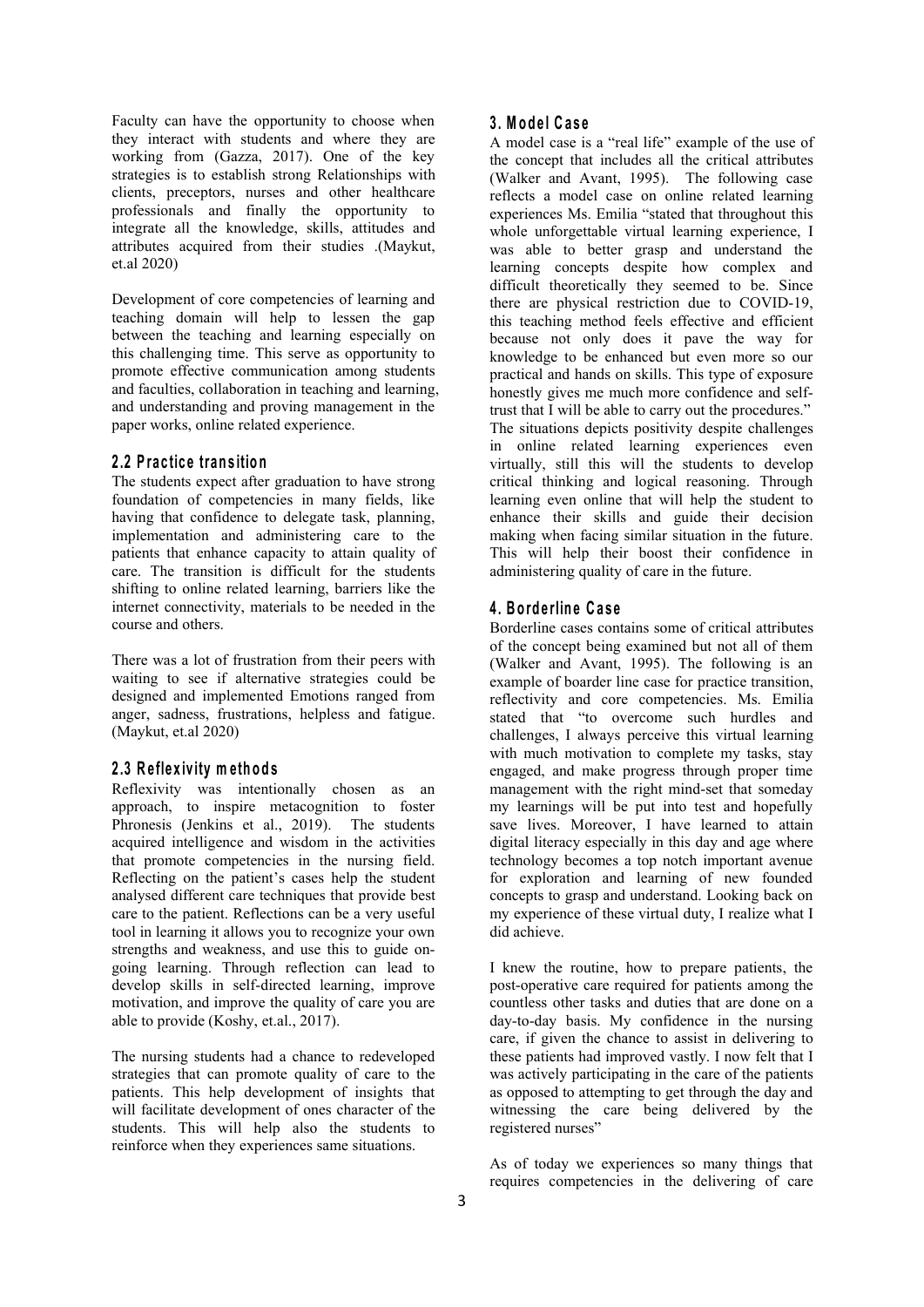Faculty can have the opportunity to choose when they interact with students and where they are working from (Gazza, 2017). One of the key strategies is to establish strong Relationships with clients, preceptors, nurses and other healthcare professionals and finally the opportunity to integrate all the knowledge, skills, attitudes and attributes acquired from their studies .(Maykut, et.al 2020)

Development of core competencies of learning and teaching domain will help to lessen the gap between the teaching and learning especially on this challenging time. This serve as opportunity to promote effective communication among students and faculties, collaboration in teaching and learning, and understanding and proving management in the paper works, online related experience.

#### **2 .2 P ra c tic e tran s itio n**

The students expect after graduation to have strong foundation of competencies in many fields, like having that confidence to delegate task, planning, implementation and administering care to the patients that enhance capacity to attain quality of care. The transition is difficult for the students shifting to online related learning, barriers like the internet connectivity, materials to be needed in the course and others.

There was a lot of frustration from their peers with waiting to see if alternative strategies could be designed and implemented Emotions ranged from anger, sadness, frustrations, helpless and fatigue. (Maykut, et.al 2020)

## **2 .3 R e fle x iv ity m eth o d s**

Reflexivity was intentionally chosen as an approach, to inspire metacognition to foster Phronesis (Jenkins et al., 2019). The students acquired intelligence and wisdom in the activities that promote competencies in the nursing field. Reflecting on the patient's cases help the student analysed different care techniques that provide best care to the patient. Reflections can be a very useful tool in learning it allows you to recognize your own strengths and weakness, and use this to guide on going learning. Through reflection can lead to develop skills in self-directed learning, improve motivation, and improve the quality of care you are able to provide (Koshy, et.al., 2017).

The nursing students had a chance to redeveloped strategies that can promote quality of care to the patients. This help development of insights that will facilitate development of ones character of the students. This will help also the students to reinforce when they experiences same situations.

#### **3 . M o d e l C a s e**

A model case is a "real life" example of the use of the concept that includes all the critical attributes (Walker and Avant, 1995). The following case reflects a model case on online related learning experiences Ms. Emilia "stated that throughout this whole unforgettable virtual learning experience, I was able to better grasp and understand the learning concepts despite how complex and difficult theoretically they seemed to be. Since there are physical restriction due to COVID-19, this teaching method feels effective and efficient because not only does it pave the way for knowledge to be enhanced but even more so our practical and hands on skills. This type of exposure honestly gives me much more confidence and selftrust that I will be able to carry out the procedures." The situations depicts positivity despite challenges in online related learning experiences even virtually, still this will the students to develop critical thinking and logical reasoning. Through learning even online that will help the student to enhance their skills and guide their decision making when facing similar situation in the future. This will help their boost their confidence in administering quality of care in the future.

# **4 . B o rd e rlin e C a s e**

Borderline cases contains some of critical attributes of the concept being examined but not all of them (Walker and Avant, 1995). The following is an example of boarder line case for practice transition, reflectivity and core competencies. Ms. Emilia stated that "to overcome such hurdles and challenges, I always perceive this virtual learning with much motivation to complete my tasks, stay engaged, and make progress through proper time management with the right mind-set that someday my learnings will be put into test and hopefully save lives. Moreover, I have learned to attain digital literacy especially in this day and age where technology becomes a top notch important avenue for exploration and learning of new founded concepts to grasp and understand. Looking back on my experience of these virtual duty, I realize what I did achieve.

I knew the routine, how to prepare patients, the post-operative care required for patients among the countless other tasks and duties that are done on a day-to-day basis. My confidence in the nursing care, if given the chance to assist in delivering to these patients had improved vastly. I now felt that I was actively participating in the care of the patients as opposed to attempting to get through the day and witnessing the care being delivered by the registered nurses"

As of today we experiences so many things that requires competencies in the delivering of care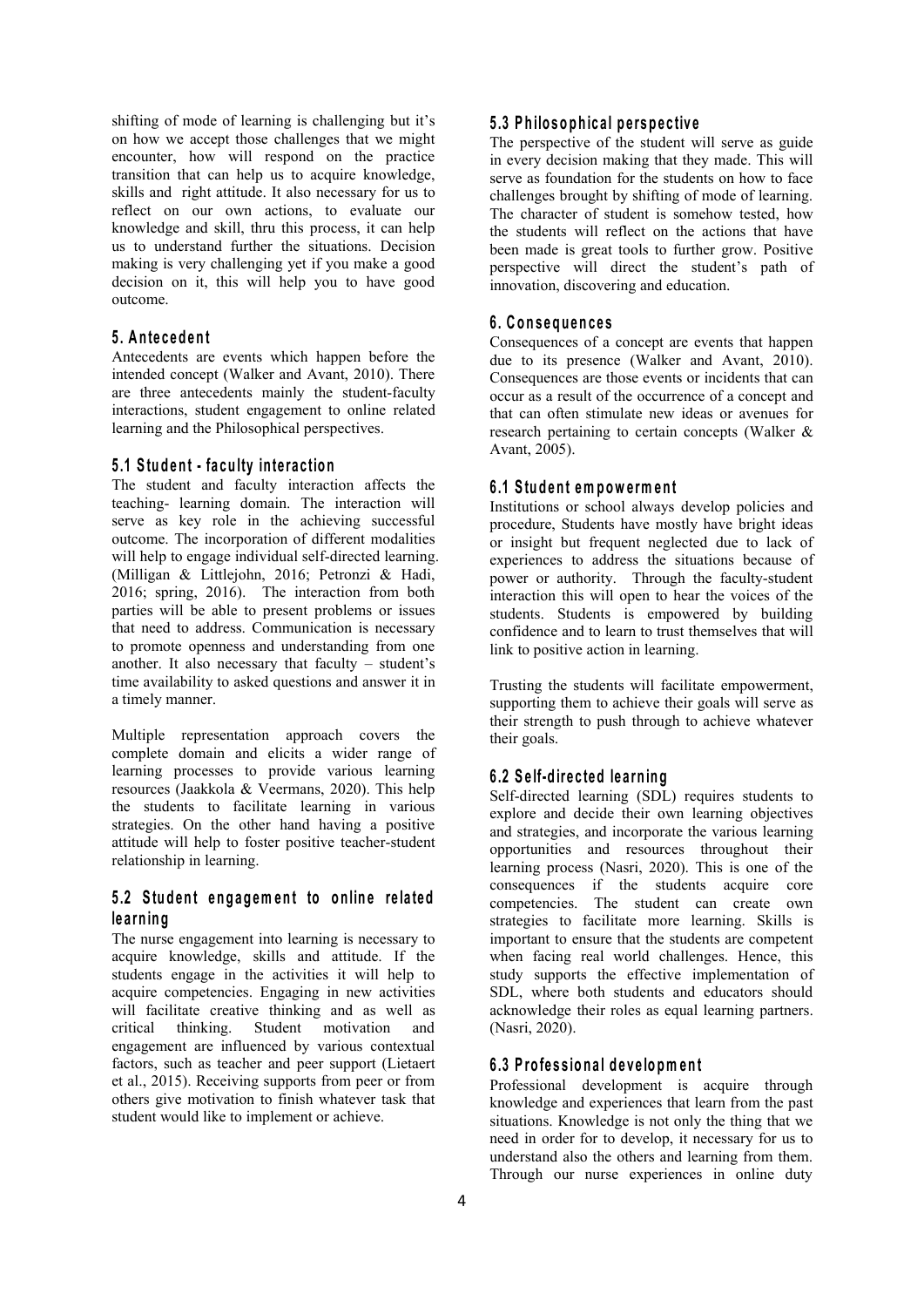shifting of mode of learning is challenging but it's on how we accept those challenges that we might encounter, how will respond on the practice transition that can help us to acquire knowledge, skills and right attitude. It also necessary for us to reflect on our own actions, to evaluate our knowledge and skill, thru this process, it can help us to understand further the situations. Decision making is very challenging yet if you make a good decision on it, this will help you to have good outcome.

# **5 . A n te c ed en t**

Antecedents are events which happen before the intended concept (Walker and Avant, 2010). There are three antecedents mainly the student-faculty interactions, student engagement to online related learning and the Philosophical perspectives.

# **5 .1 S tu d en t - fa cu lty in te ra c tio n**

The student and faculty interaction affects the teaching- learning domain. The interaction will serve as key role in the achieving successful outcome. The incorporation of different modalities will help to engage individual self-directed learning. (Milligan & Littlejohn, 2016; Petronzi & Hadi, 2016; spring, 2016). The interaction from both parties will be able to present problems or issues that need to address. Communication is necessary to promote openness and understanding from one another. It also necessary that faculty – student's time availability to asked questions and answer it in a timely manner.

Multiple representation approach covers the complete domain and elicits a wider range of learning processes to provide various learning resources (Jaakkola & Veermans, 2020). This help the students to facilitate learning in various strategies. On the other hand having a positive attitude will help to foster positive teacher-student relationship in learning.

# **5 .2 S tu d en t en g ag em en t to o n lin e re la ted le a rn in g**

The nurse engagement into learning is necessary to acquire knowledge, skills and attitude. If the students engage in the activities it will help to acquire competencies. Engaging in new activities will facilitate creative thinking and as well as critical thinking. Student motivation and engagement are influenced by various contextual factors, such as teacher and peer support (Lietaert et al., 2015). Receiving supports from peer or from others give motivation to finish whatever task that student would like to implement or achieve.

## **5 .3 P h ilo so p h ic a l p ersp e c tiv e**

The perspective of the student will serve as guide in every decision making that they made. This will serve as foundation for the students on how to face challenges brought by shifting of mode of learning. The character of student is somehow tested, how the students will reflect on the actions that have been made is great tools to further grow. Positive perspective will direct the student's path of innovation, discovering and education.

#### **6 . C o n s eq u en c e s**

Consequences of a concept are events that happen due to its presence (Walker and Avant, 2010). Consequences are those events or incidents that can occur as a result of the occurrence of a concept and that can often stimulate new ideas or avenues for research pertaining to certain concepts (Walker & Avant, 2005).

#### **6 .1 S tu d en t em p ow e rm en t**

Institutions or school always develop policies and procedure, Students have mostly have bright ideas or insight but frequent neglected due to lack of experiences to address the situations because of power or authority. Through the faculty-student interaction this will open to hear the voices of the students. Students is empowered by building confidence and to learn to trust themselves that will link to positive action in learning.

Trusting the students will facilitate empowerment, supporting them to achieve their goals will serve as their strength to push through to achieve whatever their goals.

## **6 .2 S e lf-d ire c ted lea rn in g**

Self-directed learning (SDL) requires students to explore and decide their own learning objectives and strategies, and incorporate the various learning opportunities and resources throughout their learning process (Nasri, 2020). This is one of the consequences if the students acquire core competencies. The student can create own strategies to facilitate more learning. Skills is important to ensure that the students are competent when facing real world challenges. Hence, this study supports the effective implementation of SDL, where both students and educators should acknowledge their roles as equal learning partners. (Nasri, 2020).

## **6 .3 P ro fe s s io n a l d e v e lo pm en t**

Professional development is acquire through knowledge and experiences that learn from the past situations. Knowledge is not only the thing that we need in order for to develop, it necessary for us to understand also the others and learning from them. Through our nurse experiences in online duty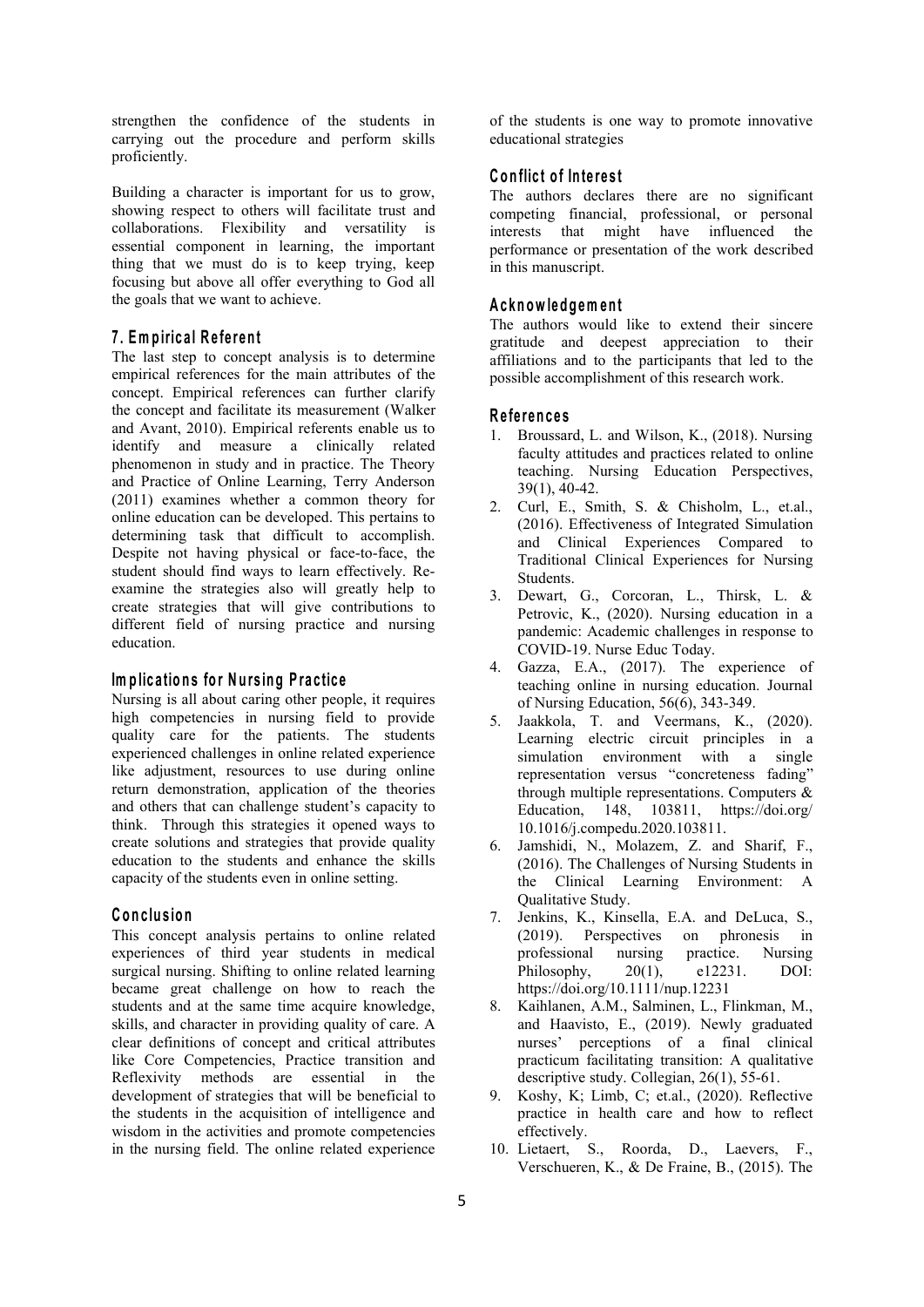strengthen the confidence of the students in carrying out the procedure and perform skills proficiently.

Building a character is important for us to grow, showing respect to others will facilitate trust and collaborations. Flexibility and versatility is essential component in learning, the important thing that we must do is to keep trying, keep focusing but above all offer everything to God all the goals that we want to achieve.

# **7 . Em p iric a l R e fe ren t**

The last step to concept analysis is to determine empirical references for the main attributes of the concept. Empirical references can further clarify the concept and facilitate its measurement (Walker and Avant, 2010). Empirical referents enable us to identify and measure a clinically related phenomenon in study and in practice. The Theory and Practice of Online Learning, Terry Anderson (2011) examines whether a common theory for online education can be developed. This pertains to determining task that difficult to accomplish. Despite not having physical or face-to-face, the student should find ways to learn effectively. Re examine the strategies also will greatly help to create strategies that will give contributions to different field of nursing practice and nursing education.

## **Im p lic a tio n s fo r N u rs in g Pra c tic e**

Nursing is all about caring other people, it requires high competencies in nursing field to provide quality care for the patients. The students experienced challenges in online related experience like adjustment, resources to use during online return demonstration, application of the theories and others that can challenge student's capacity to think. Through this strategies it opened ways to create solutions and strategies that provide quality education to the students and enhance the skills capacity of the students even in online setting.

# **C o n c lu sio n**

This concept analysis pertains to online related (2019). experiences of third year students in medical surgical nursing. Shifting to online related learning became great challenge on how to reach the students and at the same time acquire knowledge, skills, and character in providing quality of care. A clear definitions of concept and critical attributes like Core Competencies, Practice transition and Reflexivity methods are essential in the development of strategies that will be beneficial to the students in the acquisition of intelligence and wisdom in the activities and promote competencies in the nursing field. The online related experience

of the students is one way to promote innovative educational strategies

## **C o n flic t o f In te re s t**

The authors declares there are no significant competing financial, professional, or personal interests that might have influenced the performance or presentation of the work described in this manuscript.

#### **A c kn ow led g em en t**

The authors would like to extend their sincere gratitude and deepest appreciation to their affiliations and to the participants that led to the possible accomplishment of this research work.

#### **R e fe ren c e s**

- 1. Broussard, L. and Wilson, K., (2018). Nursing faculty attitudes and practices related to online teaching. Nursing Education Perspectives, 39(1), 40-42.
- 2. Curl, E., Smith, S. & Chisholm, L., et.al., (2016). Effectiveness of Integrated Simulation and Clinical Experiences Compared to Traditional Clinical Experiences for Nursing Students.
- Dewart, G., Corcoran, L., Thirsk, L. & Petrovic, K., (2020). Nursing education in a pandemic: Academic challenges in response to COVID-19. Nurse Educ Today.
- 4. Gazza, E.A., (2017). The experience of teaching online in nursing education. Journal of Nursing Education, 56(6), 343-349.
- 5. Jaakkola, T. and Veermans, K., (2020). Learning electric circuit principles in a simulation environment with a single representation versus "concreteness fading" through multiple representations. Computers & Education, 148, 103811, [https://doi.org/](https://doi.org/10.1016/j.compedu.2020.103811) 10.1016/j.compedu.2020.103811.
- 6. Jamshidi, N., Molazem, Z. and Sharif, F., (2016). The Challenges of Nursing Students in the Clinical Learning Environment: A Qualitative Study.
- 7. Jenkins, K., Kinsella, E.A. and DeLuca, S., Perspectives on phronesis in professional nursing practice. Nursing Philosophy, 20(1), e12231. DOI: https://doi.org/10.1111/nup.12231
- 8. Kaihlanen, A.M., Salminen, L., Flinkman, M., and Haavisto, E., (2019). Newly graduated nurses' perceptions of a final clinical practicum facilitating transition: A qualitative descriptive study. Collegian, 26(1), 55-61.
- 9. Koshy, K; Limb, C; et.al., (2020). Reflective practice in health care and how to reflect effectively.
- 10. Lietaert, S., Roorda, D., Laevers, F., Verschueren, K., & De Fraine, B., (2015). The